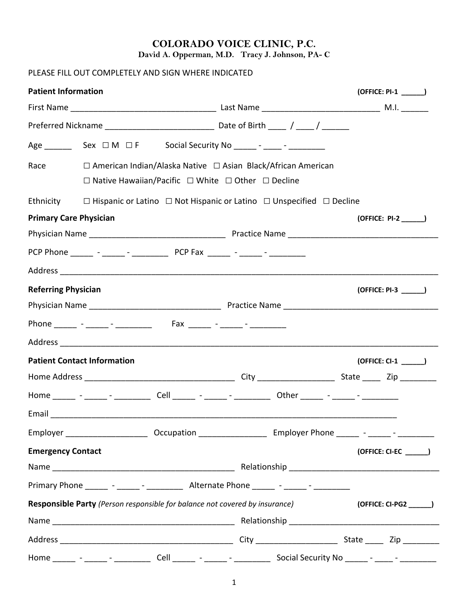#### **COLORADO VOICE CLINIC, P.C. David A. Opperman, M.D. Tracy J. Johnson, PA- C**

### PLEASE FILL OUT COMPLETELY AND SIGN WHERE INDICATED

| <b>Patient Information</b>    |                                    |                                                                  |                                                                                                                                                     | (OFFICE: PI-1 ______)    |
|-------------------------------|------------------------------------|------------------------------------------------------------------|-----------------------------------------------------------------------------------------------------------------------------------------------------|--------------------------|
|                               |                                    |                                                                  |                                                                                                                                                     |                          |
|                               |                                    |                                                                  |                                                                                                                                                     |                          |
|                               |                                    |                                                                  |                                                                                                                                                     |                          |
| Race                          |                                    |                                                                  | $\Box$ American Indian/Alaska Native $\Box$ Asian Black/African American<br>$\Box$ Native Hawaiian/Pacific $\Box$ White $\Box$ Other $\Box$ Decline |                          |
| Ethnicity                     |                                    |                                                                  | $\Box$ Hispanic or Latino $\Box$ Not Hispanic or Latino $\Box$ Unspecified $\Box$ Decline                                                           |                          |
| <b>Primary Care Physician</b> |                                    |                                                                  |                                                                                                                                                     |                          |
|                               |                                    |                                                                  |                                                                                                                                                     |                          |
|                               |                                    |                                                                  |                                                                                                                                                     |                          |
|                               |                                    |                                                                  |                                                                                                                                                     |                          |
| <b>Referring Physician</b>    |                                    |                                                                  |                                                                                                                                                     | $(OFFICE: PI-3$ $)$      |
|                               |                                    |                                                                  |                                                                                                                                                     |                          |
|                               |                                    | Phone ______ - _____ - __________ Fax ______ - _____ - _______ - |                                                                                                                                                     |                          |
|                               |                                    |                                                                  |                                                                                                                                                     |                          |
|                               | <b>Patient Contact Information</b> |                                                                  |                                                                                                                                                     | $(OFFICE: CI-1$ $)$      |
|                               |                                    |                                                                  |                                                                                                                                                     |                          |
|                               |                                    |                                                                  | Home ______ - _____ - ___________ Cell ______ - ______ - _________ Other ______ - ______ - _________                                                |                          |
|                               |                                    |                                                                  |                                                                                                                                                     |                          |
|                               |                                    |                                                                  | Employer ____________________________Occupation _________________________________ Employer Phone ________- - _______________                        |                          |
| <b>Emergency Contact</b>      |                                    |                                                                  |                                                                                                                                                     | (OFFICE: CI-EC ________) |
|                               |                                    |                                                                  |                                                                                                                                                     |                          |
|                               |                                    |                                                                  | Primary Phone ________ - _______ - ____________ Alternate Phone _______ - _______ - _________                                                       |                          |
|                               |                                    |                                                                  | Responsible Party (Person responsible for balance not covered by insurance)                                                                         |                          |
|                               |                                    |                                                                  |                                                                                                                                                     |                          |
|                               |                                    |                                                                  |                                                                                                                                                     |                          |
|                               |                                    |                                                                  | Home ________ - _______ Cell ______ - ______ - ______________ Social Security No ______ - ______ - __________                                       |                          |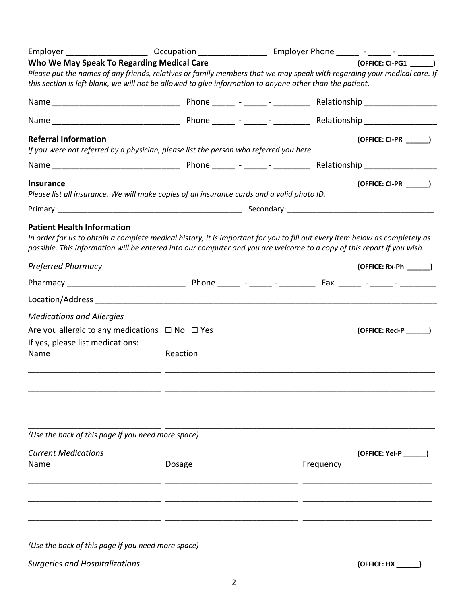|          |                                                                                                                                                                                                                    |  |           | (OFFICE: CI-PG1 )                                                                                                                                                                                                                                                                                                                                                                                                                                                                                                                                                                                                                                                                                                                                                                                                     |
|----------|--------------------------------------------------------------------------------------------------------------------------------------------------------------------------------------------------------------------|--|-----------|-----------------------------------------------------------------------------------------------------------------------------------------------------------------------------------------------------------------------------------------------------------------------------------------------------------------------------------------------------------------------------------------------------------------------------------------------------------------------------------------------------------------------------------------------------------------------------------------------------------------------------------------------------------------------------------------------------------------------------------------------------------------------------------------------------------------------|
|          |                                                                                                                                                                                                                    |  |           |                                                                                                                                                                                                                                                                                                                                                                                                                                                                                                                                                                                                                                                                                                                                                                                                                       |
|          |                                                                                                                                                                                                                    |  |           |                                                                                                                                                                                                                                                                                                                                                                                                                                                                                                                                                                                                                                                                                                                                                                                                                       |
|          |                                                                                                                                                                                                                    |  |           |                                                                                                                                                                                                                                                                                                                                                                                                                                                                                                                                                                                                                                                                                                                                                                                                                       |
|          |                                                                                                                                                                                                                    |  |           |                                                                                                                                                                                                                                                                                                                                                                                                                                                                                                                                                                                                                                                                                                                                                                                                                       |
|          |                                                                                                                                                                                                                    |  |           |                                                                                                                                                                                                                                                                                                                                                                                                                                                                                                                                                                                                                                                                                                                                                                                                                       |
|          |                                                                                                                                                                                                                    |  |           |                                                                                                                                                                                                                                                                                                                                                                                                                                                                                                                                                                                                                                                                                                                                                                                                                       |
|          |                                                                                                                                                                                                                    |  |           |                                                                                                                                                                                                                                                                                                                                                                                                                                                                                                                                                                                                                                                                                                                                                                                                                       |
|          |                                                                                                                                                                                                                    |  |           |                                                                                                                                                                                                                                                                                                                                                                                                                                                                                                                                                                                                                                                                                                                                                                                                                       |
|          |                                                                                                                                                                                                                    |  |           |                                                                                                                                                                                                                                                                                                                                                                                                                                                                                                                                                                                                                                                                                                                                                                                                                       |
|          |                                                                                                                                                                                                                    |  |           |                                                                                                                                                                                                                                                                                                                                                                                                                                                                                                                                                                                                                                                                                                                                                                                                                       |
|          |                                                                                                                                                                                                                    |  |           |                                                                                                                                                                                                                                                                                                                                                                                                                                                                                                                                                                                                                                                                                                                                                                                                                       |
|          |                                                                                                                                                                                                                    |  |           |                                                                                                                                                                                                                                                                                                                                                                                                                                                                                                                                                                                                                                                                                                                                                                                                                       |
| Reaction |                                                                                                                                                                                                                    |  |           |                                                                                                                                                                                                                                                                                                                                                                                                                                                                                                                                                                                                                                                                                                                                                                                                                       |
|          |                                                                                                                                                                                                                    |  |           | (OFFICE: Yel-P                                                                                                                                                                                                                                                                                                                                                                                                                                                                                                                                                                                                                                                                                                                                                                                                        |
| Dosage   |                                                                                                                                                                                                                    |  | Frequency |                                                                                                                                                                                                                                                                                                                                                                                                                                                                                                                                                                                                                                                                                                                                                                                                                       |
|          |                                                                                                                                                                                                                    |  |           | (OFFICE: HX                                                                                                                                                                                                                                                                                                                                                                                                                                                                                                                                                                                                                                                                                                                                                                                                           |
|          | Who We May Speak To Regarding Medical Care<br>Are you allergic to any medications $\Box$ No $\Box$ Yes<br>(Use the back of this page if you need more space)<br>(Use the back of this page if you need more space) |  |           | Employer ___________________________ Occupation _________________________________ Employer Phone ________- - _______________<br>Please put the names of any friends, relatives or family members that we may speak with regarding your medical care. If<br>this section is left blank, we will not be allowed to give information to anyone other than the patient.<br>If you were not referred by a physician, please list the person who referred you here.<br>Please list all insurance. We will make copies of all insurance cards and a valid photo ID.<br>In order for us to obtain a complete medical history, it is important for you to fill out every item below as completely as<br>possible. This information will be entered into our computer and you are welcome to a copy of this report if you wish. |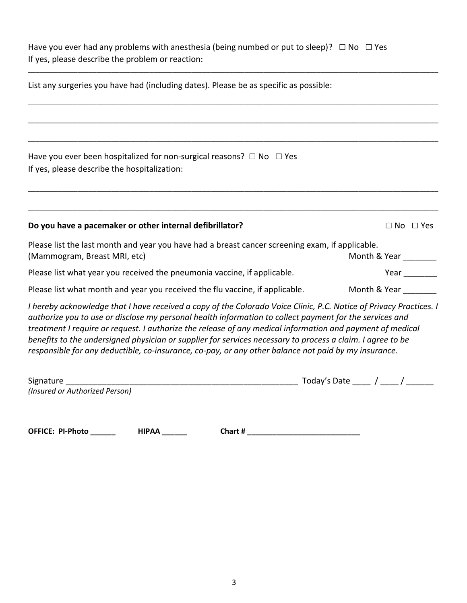Have you ever had any problems with anesthesia (being numbed or put to sleep)?  $\Box$  No  $\Box$  Yes If yes, please describe the problem or reaction:

\_\_\_\_\_\_\_\_\_\_\_\_\_\_\_\_\_\_\_\_\_\_\_\_\_\_\_\_\_\_\_\_\_\_\_\_\_\_\_\_\_\_\_\_\_\_\_\_\_\_\_\_\_\_\_\_\_\_\_\_\_\_\_\_\_\_\_\_\_\_\_\_\_\_\_\_\_\_\_\_\_\_\_\_\_\_\_\_\_\_\_\_\_\_\_\_\_\_\_\_\_\_\_\_\_\_\_\_

| List any surgeries you have had (including dates). Please be as specific as possible:                                                                                                                                                                                                                                                                                                                                                                                                                                                                            |                                                |
|------------------------------------------------------------------------------------------------------------------------------------------------------------------------------------------------------------------------------------------------------------------------------------------------------------------------------------------------------------------------------------------------------------------------------------------------------------------------------------------------------------------------------------------------------------------|------------------------------------------------|
|                                                                                                                                                                                                                                                                                                                                                                                                                                                                                                                                                                  |                                                |
| Have you ever been hospitalized for non-surgical reasons? $\Box$ No $\Box$ Yes<br>If yes, please describe the hospitalization:                                                                                                                                                                                                                                                                                                                                                                                                                                   |                                                |
| Do you have a pacemaker or other internal defibrillator?                                                                                                                                                                                                                                                                                                                                                                                                                                                                                                         | $\Box$ No $\Box$ Yes                           |
| Please list the last month and year you have had a breast cancer screening exam, if applicable.<br>(Mammogram, Breast MRI, etc)                                                                                                                                                                                                                                                                                                                                                                                                                                  | Month & Year                                   |
| Please list what year you received the pneumonia vaccine, if applicable.                                                                                                                                                                                                                                                                                                                                                                                                                                                                                         | Year                                           |
| Please list what month and year you received the flu vaccine, if applicable.                                                                                                                                                                                                                                                                                                                                                                                                                                                                                     | Month & Year                                   |
| I hereby acknowledge that I have received a copy of the Colorado Voice Clinic, P.C. Notice of Privacy Practices. I<br>authorize you to use or disclose my personal health information to collect payment for the services and<br>treatment I require or request. I authorize the release of any medical information and payment of medical<br>benefits to the undersigned physician or supplier for services necessary to process a claim. I agree to be<br>responsible for any deductible, co-insurance, co-pay, or any other balance not paid by my insurance. |                                                |
| Signature<br>(Insured or Authorized Person)                                                                                                                                                                                                                                                                                                                                                                                                                                                                                                                      | Today's Date $\frac{\ }{\ }$ / $\frac{\ }{\ }$ |

**OFFICE: PI-Photo \_\_\_\_\_\_ HIPAA \_\_\_\_\_\_ Chart # \_\_\_\_\_\_\_\_\_\_\_\_\_\_\_\_\_\_\_\_\_\_\_\_\_\_\_**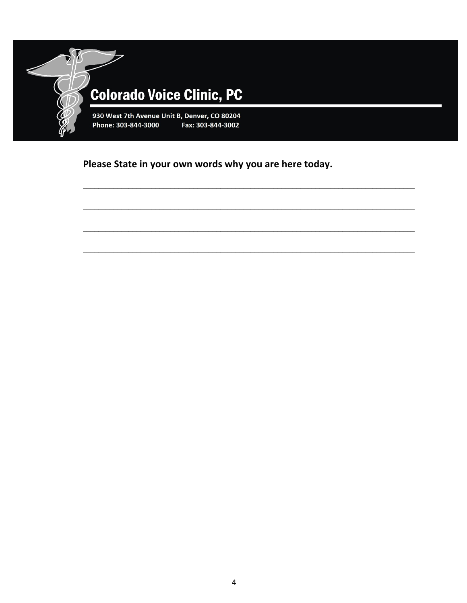

Please State in your own words why you are here today.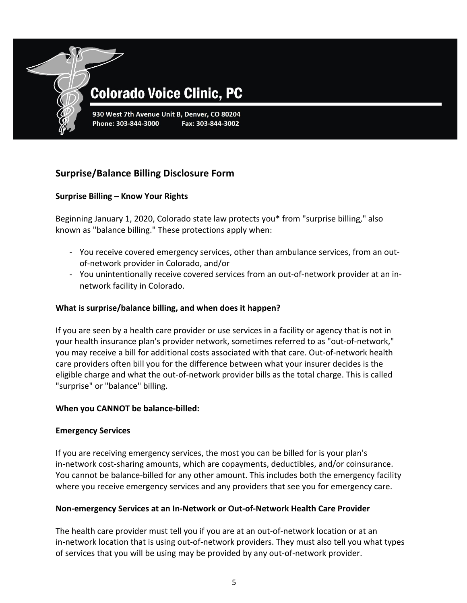

# **Colorado Voice Clinic, PC**

930 West 7th Avenue Unit B, Denver, CO 80204 Fax: 303-844-3002

### **Surprise/Balance Billing Disclosure Form**

#### **Surprise Billing – Know Your Rights**

Beginning January 1, 2020, Colorado state law protects you\* from "surprise billing," also known as "balance billing." These protections apply when:

- You receive covered emergency services, other than ambulance services, from an outof-network provider in Colorado, and/or
- You unintentionally receive covered services from an out-of-network provider at an innetwork facility in Colorado.

#### **What is surprise/balance billing, and when does it happen?**

If you are seen by a health care provider or use services in a facility or agency that is not in your health insurance plan's provider network, sometimes referred to as "out-of-network," you may receive a bill for additional costs associated with that care. Out-of-network health care providers often bill you for the difference between what your insurer decides is the eligible charge and what the out-of-network provider bills as the total charge. This is called "surprise" or "balance" billing.

#### **When you CANNOT be balance-billed:**

#### **Emergency Services**

If you are receiving emergency services, the most you can be billed for is your plan's in-network cost-sharing amounts, which are copayments, deductibles, and/or coinsurance. You cannot be balance-billed for any other amount. This includes both the emergency facility where you receive emergency services and any providers that see you for emergency care.

#### **Non-emergency Services at an In-Network or Out-of-Network Health Care Provider**

The health care provider must tell you if you are at an out-of-network location or at an in-network location that is using out-of-network providers. They must also tell you what types of services that you will be using may be provided by any out-of-network provider.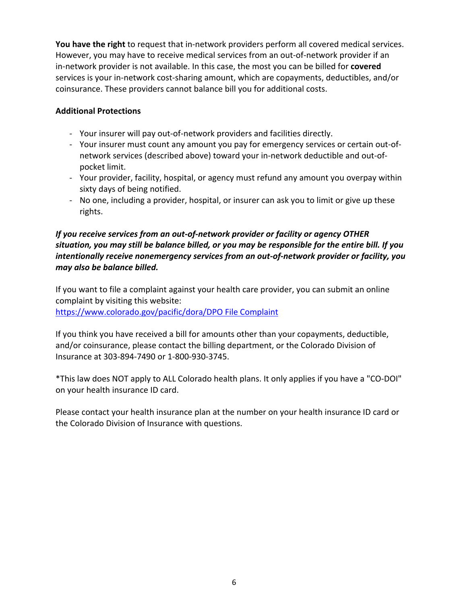**You have the right** to request that in-network providers perform all covered medical services. However, you may have to receive medical services from an out-of-network provider if an in-network provider is not available. In this case, the most you can be billed for **covered** services is your in-network cost-sharing amount, which are copayments, deductibles, and/or coinsurance. These providers cannot balance bill you for additional costs.

#### **Additional Protections**

- Your insurer will pay out-of-network providers and facilities directly.
- Your insurer must count any amount you pay for emergency services or certain out-ofnetwork services (described above) toward your in-network deductible and out-ofpocket limit.
- Your provider, facility, hospital, or agency must refund any amount you overpay within sixty days of being notified.
- No one, including a provider, hospital, or insurer can ask you to limit or give up these rights.

#### *If you receive services from an out-of-network provider or facility or agency OTHER situation, you may still be balance billed, or you may be responsible for the entire bill. If you intentionally receive nonemergency services from an out-of-network provider or facility, you may also be balance billed.*

If you want to file a complaint against your health care provider, you can submit an online complaint by visiting this website: https://www.colorado.gov/pacific/dora/DPO File Complaint

If you think you have received a bill for amounts other than your copayments, deductible, and/or coinsurance, please contact the billing department, or the Colorado Division of Insurance at 303-894-7490 or 1-800-930-3745.

\*This law does NOT apply to ALL Colorado health plans. It only applies if you have a "CO-DOI" on your health insurance ID card.

Please contact your health insurance plan at the number on your health insurance ID card or the Colorado Division of Insurance with questions.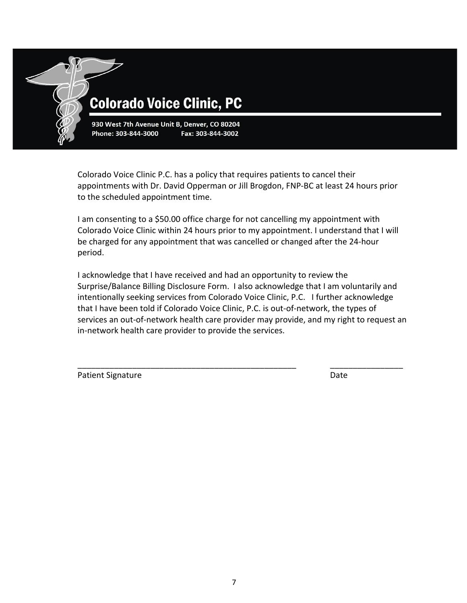

930 West 7th Avenue Unit B, Denver, CO 80204 Phone: 303-844-3000 Fax: 303-844-3002

Colorado Voice Clinic P.C. has a policy that requires patients to cancel their appointments with Dr. David Opperman or Jill Brogdon, FNP-BC at least 24 hours prior to the scheduled appointment time.

I am consenting to a \$50.00 office charge for not cancelling my appointment with Colorado Voice Clinic within 24 hours prior to my appointment. I understand that I will be charged for any appointment that was cancelled or changed after the 24-hour period.

I acknowledge that I have received and had an opportunity to review the Surprise/Balance Billing Disclosure Form. I also acknowledge that I am voluntarily and intentionally seeking services from Colorado Voice Clinic, P.C. I further acknowledge that I have been told if Colorado Voice Clinic, P.C. is out-of-network, the types of services an out-of-network health care provider may provide, and my right to request an in-network health care provider to provide the services.

\_\_\_\_\_\_\_\_\_\_\_\_\_\_\_\_\_\_\_\_\_\_\_\_\_\_\_\_\_\_\_\_\_\_\_\_\_\_\_\_\_\_\_\_\_\_\_\_ \_\_\_\_\_\_\_\_\_\_\_\_\_\_\_\_

Patient Signature Date Date Date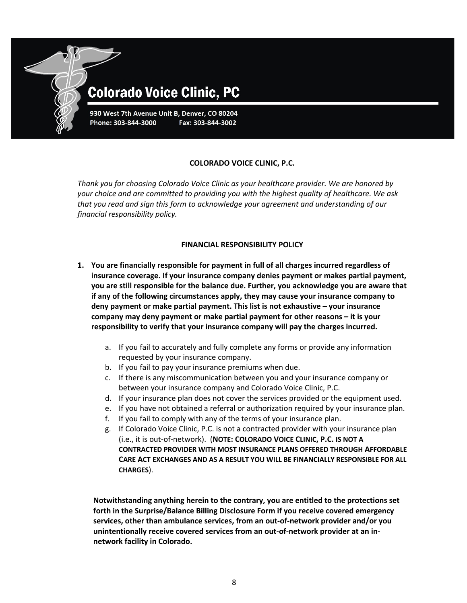

## **Colorado Voice Clinic, PC**

930 West 7th Avenue Unit B, Denver, CO 80204 Phone: 303-844-3000 Fax: 303-844-3002

#### **COLORADO VOICE CLINIC, P.C.**

*Thank you for choosing Colorado Voice Clinic as your healthcare provider. We are honored by your choice and are committed to providing you with the highest quality of healthcare. We ask that you read and sign this form to acknowledge your agreement and understanding of our financial responsibility policy.*

#### **FINANCIAL RESPONSIBILITY POLICY**

- **1. You are financially responsible for payment in full of all charges incurred regardless of insurance coverage. If your insurance company denies payment or makes partial payment, you are still responsible for the balance due. Further, you acknowledge you are aware that if any of the following circumstances apply, they may cause your insurance company to deny payment or make partial payment. This list is not exhaustive – your insurance company may deny payment or make partial payment for other reasons – it is your responsibility to verify that your insurance company will pay the charges incurred.** 
	- a. If you fail to accurately and fully complete any forms or provide any information requested by your insurance company.
	- b. If you fail to pay your insurance premiums when due.
	- c. If there is any miscommunication between you and your insurance company or between your insurance company and Colorado Voice Clinic, P.C.
	- d. If your insurance plan does not cover the services provided or the equipment used.
	- e. If you have not obtained a referral or authorization required by your insurance plan.
	- f. If you fail to comply with any of the terms of your insurance plan.
	- g. If Colorado Voice Clinic, P.C. is not a contracted provider with your insurance plan (i.e., it is out-of-network). (**NOTE: COLORADO VOICE CLINIC, P.C. IS NOT A CONTRACTED PROVIDER WITH MOST INSURANCE PLANS OFFERED THROUGH AFFORDABLE CARE ACT EXCHANGES AND AS A RESULT YOU WILL BE FINANCIALLY RESPONSIBLE FOR ALL CHARGES**).

**Notwithstanding anything herein to the contrary, you are entitled to the protections set forth in the Surprise/Balance Billing Disclosure Form if you receive covered emergency services, other than ambulance services, from an out-of-network provider and/or you unintentionally receive covered services from an out-of-network provider at an innetwork facility in Colorado.**